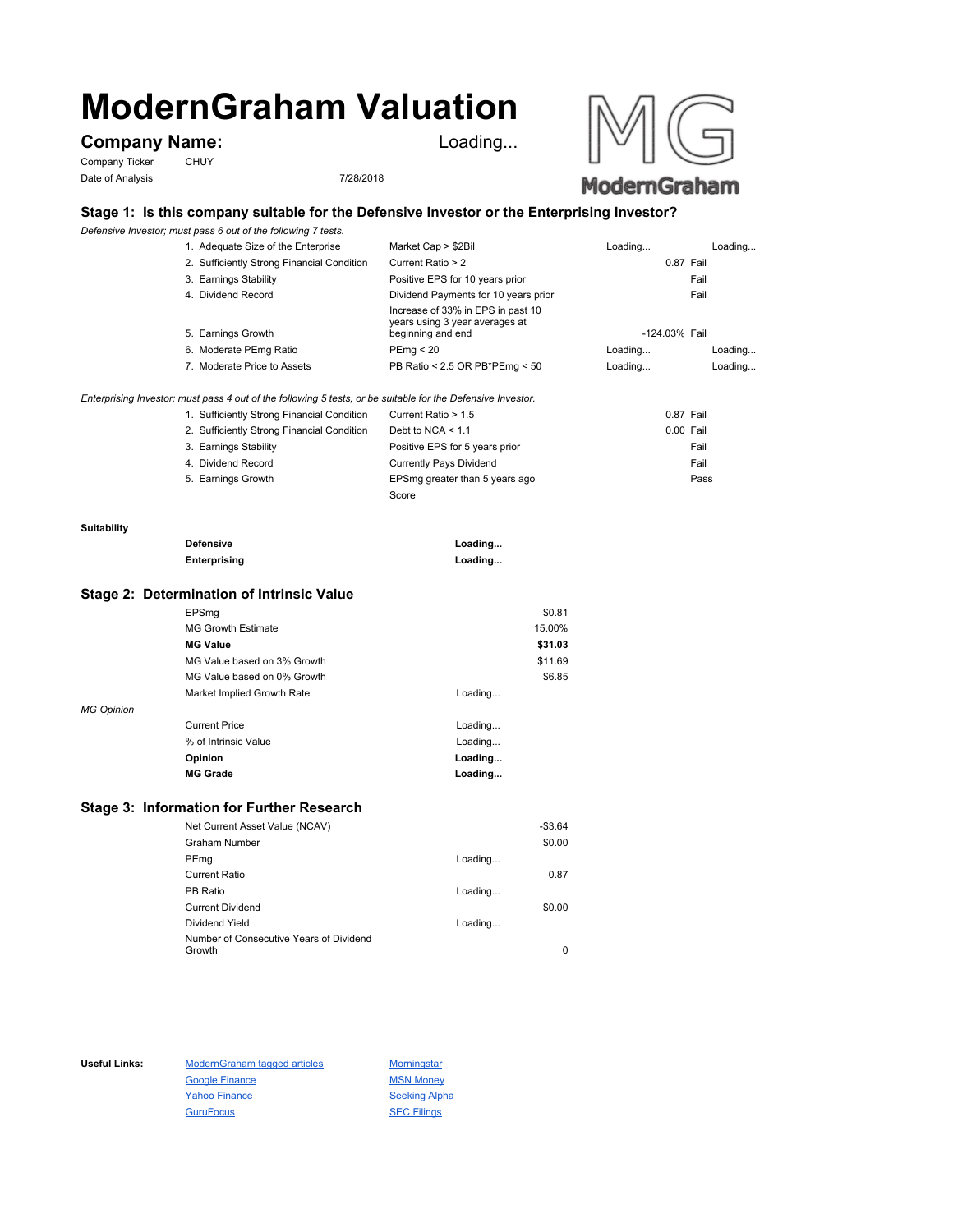# **ModernGraham Valuation**

# Company Name: **Loading...**

Company Ticker CHUY Date of Analysis 7/28/2018



## **Stage 1: Is this company suitable for the Defensive Investor or the Enterprising Investor?**

*Defensive Investor; must pass 6 out of the following 7 tests.*

|                    | 1. Adequate Size of the Enterprise                                                                          | Market Cap > \$2Bil                                 | Loading       | Loading |
|--------------------|-------------------------------------------------------------------------------------------------------------|-----------------------------------------------------|---------------|---------|
|                    | 2. Sufficiently Strong Financial Condition                                                                  | Current Ratio > 2                                   | 0.87 Fail     |         |
|                    | 3. Earnings Stability                                                                                       | Positive EPS for 10 years prior                     |               | Fail    |
|                    | 4. Dividend Record                                                                                          | Dividend Payments for 10 years prior                |               | Fail    |
|                    |                                                                                                             | Increase of 33% in EPS in past 10                   |               |         |
|                    | 5. Earnings Growth                                                                                          | years using 3 year averages at<br>beginning and end | -124.03% Fail |         |
|                    | 6. Moderate PEmg Ratio                                                                                      | PEmq < 20                                           | Loading       | Loading |
|                    | 7. Moderate Price to Assets                                                                                 | PB Ratio < 2.5 OR PB*PEmg < 50                      | Loading       | Loading |
|                    | Enterprising Investor; must pass 4 out of the following 5 tests, or be suitable for the Defensive Investor. |                                                     |               |         |
|                    | 1. Sufficiently Strong Financial Condition                                                                  | Current Ratio > 1.5                                 | 0.87 Fail     |         |
|                    | 2. Sufficiently Strong Financial Condition                                                                  | Debt to NCA $<$ 1.1                                 | 0.00 Fail     |         |
|                    | 3. Earnings Stability                                                                                       | Positive EPS for 5 years prior                      |               | Fail    |
|                    | 4. Dividend Record                                                                                          | <b>Currently Pays Dividend</b>                      |               | Fail    |
|                    | 5. Earnings Growth                                                                                          | EPSmg greater than 5 years ago                      |               | Pass    |
|                    |                                                                                                             | Score                                               |               |         |
| <b>Suitability</b> |                                                                                                             |                                                     |               |         |
|                    | <b>Defensive</b>                                                                                            | Loading                                             |               |         |
|                    | Enterprising                                                                                                | Loading                                             |               |         |
|                    | Stage 2: Determination of Intrinsic Value                                                                   |                                                     |               |         |
|                    | EPSmg                                                                                                       | \$0.81                                              |               |         |
|                    | <b>MG Growth Estimate</b>                                                                                   | 15.00%                                              |               |         |
|                    | <b>MG Value</b>                                                                                             | \$31.03                                             |               |         |
|                    | MG Value based on 3% Growth                                                                                 | \$11.69                                             |               |         |
|                    | MG Value based on 0% Growth                                                                                 | \$6.85                                              |               |         |
|                    | Market Implied Growth Rate                                                                                  | Loading                                             |               |         |
|                    |                                                                                                             |                                                     |               |         |

#### *MG Opinion*

| <b>Current Price</b>            | Loading            |
|---------------------------------|--------------------|
| % of Intrinsic Value<br>Opinion | Loading<br>Loading |
| <b>MG Grade</b>                 | Loading            |

### **Stage 3: Information for Further Research**

| Net Current Asset Value (NCAV)                    | $-$3.64$ |
|---------------------------------------------------|----------|
| Graham Number                                     | \$0.00   |
| PEmg                                              | Loading  |
| Current Ratio                                     | 0.87     |
| PB Ratio                                          | Loading  |
| <b>Current Dividend</b>                           | \$0.00   |
| Dividend Yield                                    | Loading  |
| Number of Consecutive Years of Dividend<br>Growth | 0        |

Useful Links: ModernGraham tagged articles Morningstar Google Finance MSN Money Yahoo Finance Seeking Alpha GuruFocus SEC Filings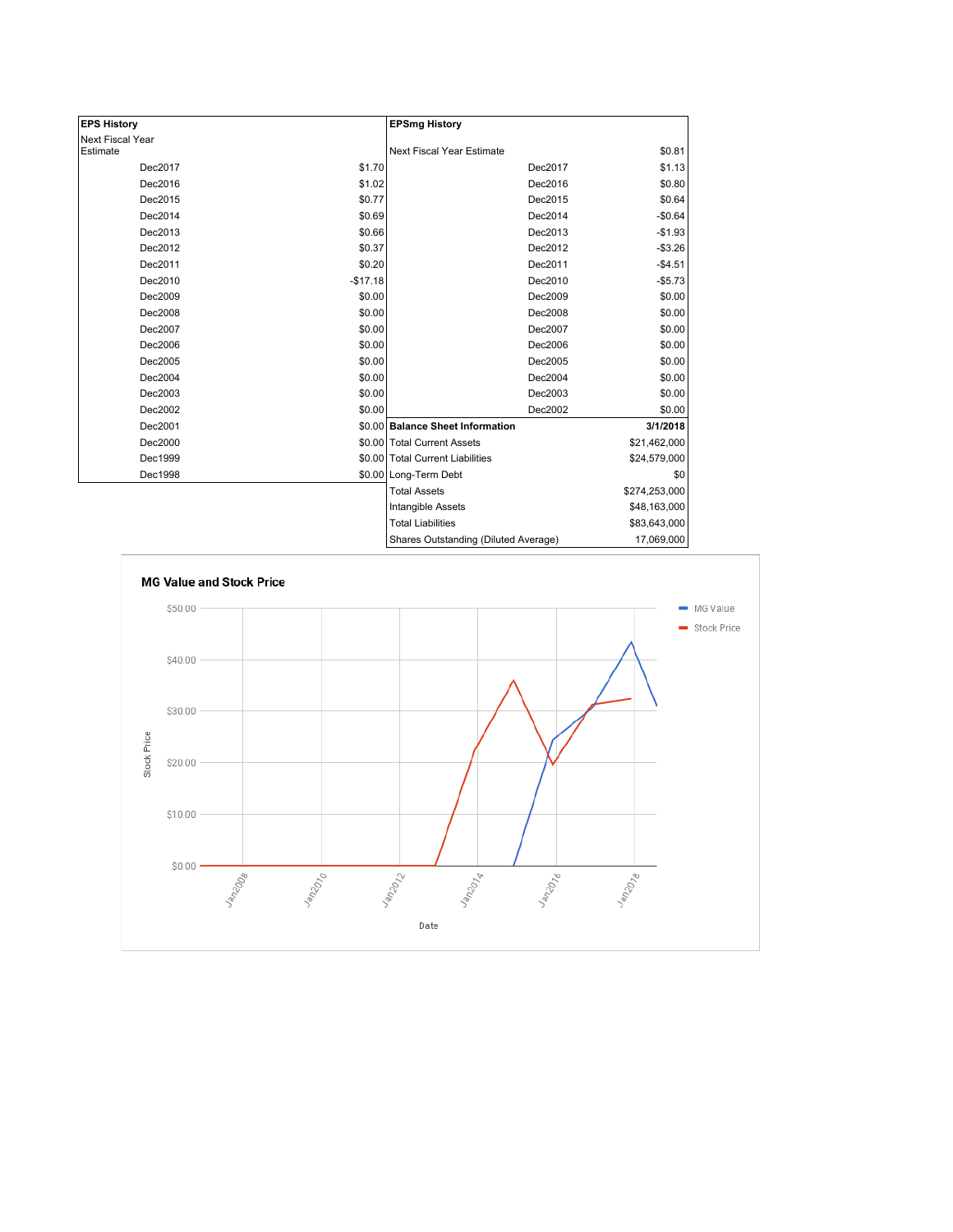| <b>EPS History</b> |           | <b>EPSmg History</b>                 |                                       |
|--------------------|-----------|--------------------------------------|---------------------------------------|
| Next Fiscal Year   |           |                                      |                                       |
| Estimate           |           | Next Fiscal Year Estimate            | \$0.81                                |
| Dec2017            | \$1.70    | Dec2017                              | \$1.13                                |
| Dec2016            | \$1.02    | Dec2016                              | \$0.80                                |
| Dec2015            | \$0.77    | Dec2015                              | \$0.64                                |
| Dec2014            | \$0.69    | Dec2014                              | $-$0.64$                              |
| Dec2013            | \$0.66    | Dec2013                              | $-$1.93$                              |
| Dec2012            | \$0.37    | Dec2012                              | $-$3.26$                              |
| Dec2011            | \$0.20    | Dec2011                              | $-$4.51$                              |
| Dec2010            | $-$17.18$ | Dec2010                              | $-$5.73$                              |
| Dec2009            | \$0.00    | Dec2009                              | \$0.00                                |
| Dec2008            | \$0.00    | Dec2008                              | \$0.00                                |
| Dec2007            | \$0.00    | Dec2007                              | \$0.00                                |
| Dec2006            | \$0.00    | Dec2006                              | \$0.00                                |
| Dec2005            | \$0.00    | Dec2005                              | \$0.00                                |
| Dec2004            | \$0.00    | Dec2004                              | \$0.00                                |
| Dec2003            | \$0.00    | Dec2003                              | \$0.00                                |
| Dec2002            | \$0.00    | Dec2002                              | \$0.00                                |
| Dec2001            |           | \$0.00 Balance Sheet Information     | 3/1/2018                              |
| Dec2000            |           | \$0.00 Total Current Assets          | \$21,462,000                          |
| Dec1999            |           | \$0.00 Total Current Liabilities     | \$24,579,000                          |
| Dec1998            |           | \$0.00 Long-Term Debt                | \$0                                   |
|                    |           | <b>Total Assets</b>                  | \$274,253,000                         |
|                    |           | Intangible Assets                    | \$48,163,000                          |
|                    |           | <b>Total Liabilities</b>             | \$83,643,000                          |
|                    |           | Charge Outetanding (Diluted Average) | 17 $\cap$ $\cap$ $\cap$ $\cap$ $\cap$ |